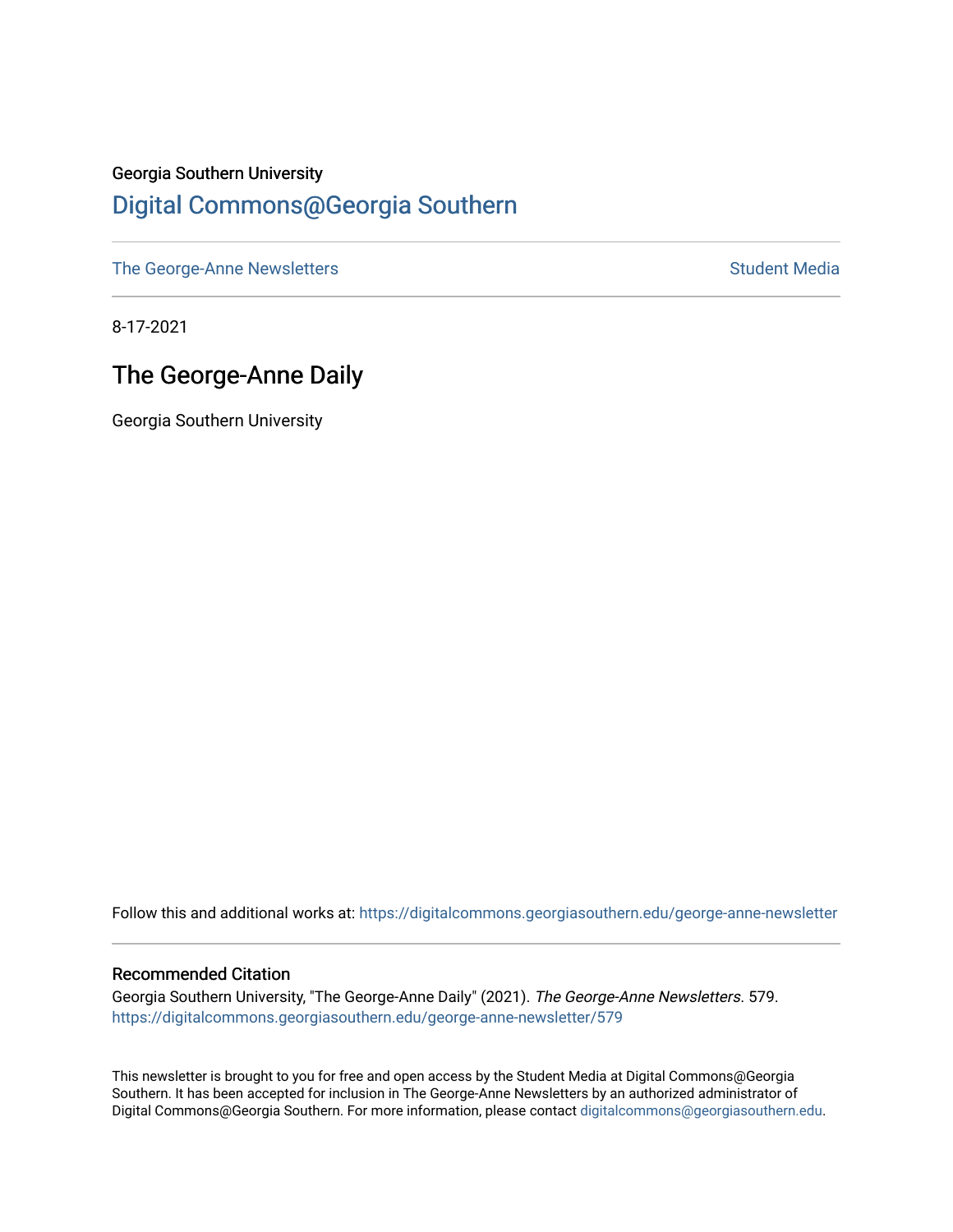# Georgia Southern University [Digital Commons@Georgia Southern](https://digitalcommons.georgiasouthern.edu/)

[The George-Anne Newsletters](https://digitalcommons.georgiasouthern.edu/george-anne-newsletter) **Student Media** Student Media

8-17-2021

# The George-Anne Daily

Georgia Southern University

Follow this and additional works at: [https://digitalcommons.georgiasouthern.edu/george-anne-newsletter](https://digitalcommons.georgiasouthern.edu/george-anne-newsletter?utm_source=digitalcommons.georgiasouthern.edu%2Fgeorge-anne-newsletter%2F579&utm_medium=PDF&utm_campaign=PDFCoverPages)

#### Recommended Citation

Georgia Southern University, "The George-Anne Daily" (2021). The George-Anne Newsletters. 579. [https://digitalcommons.georgiasouthern.edu/george-anne-newsletter/579](https://digitalcommons.georgiasouthern.edu/george-anne-newsletter/579?utm_source=digitalcommons.georgiasouthern.edu%2Fgeorge-anne-newsletter%2F579&utm_medium=PDF&utm_campaign=PDFCoverPages) 

This newsletter is brought to you for free and open access by the Student Media at Digital Commons@Georgia Southern. It has been accepted for inclusion in The George-Anne Newsletters by an authorized administrator of Digital Commons@Georgia Southern. For more information, please contact [digitalcommons@georgiasouthern.edu.](mailto:digitalcommons@georgiasouthern.edu)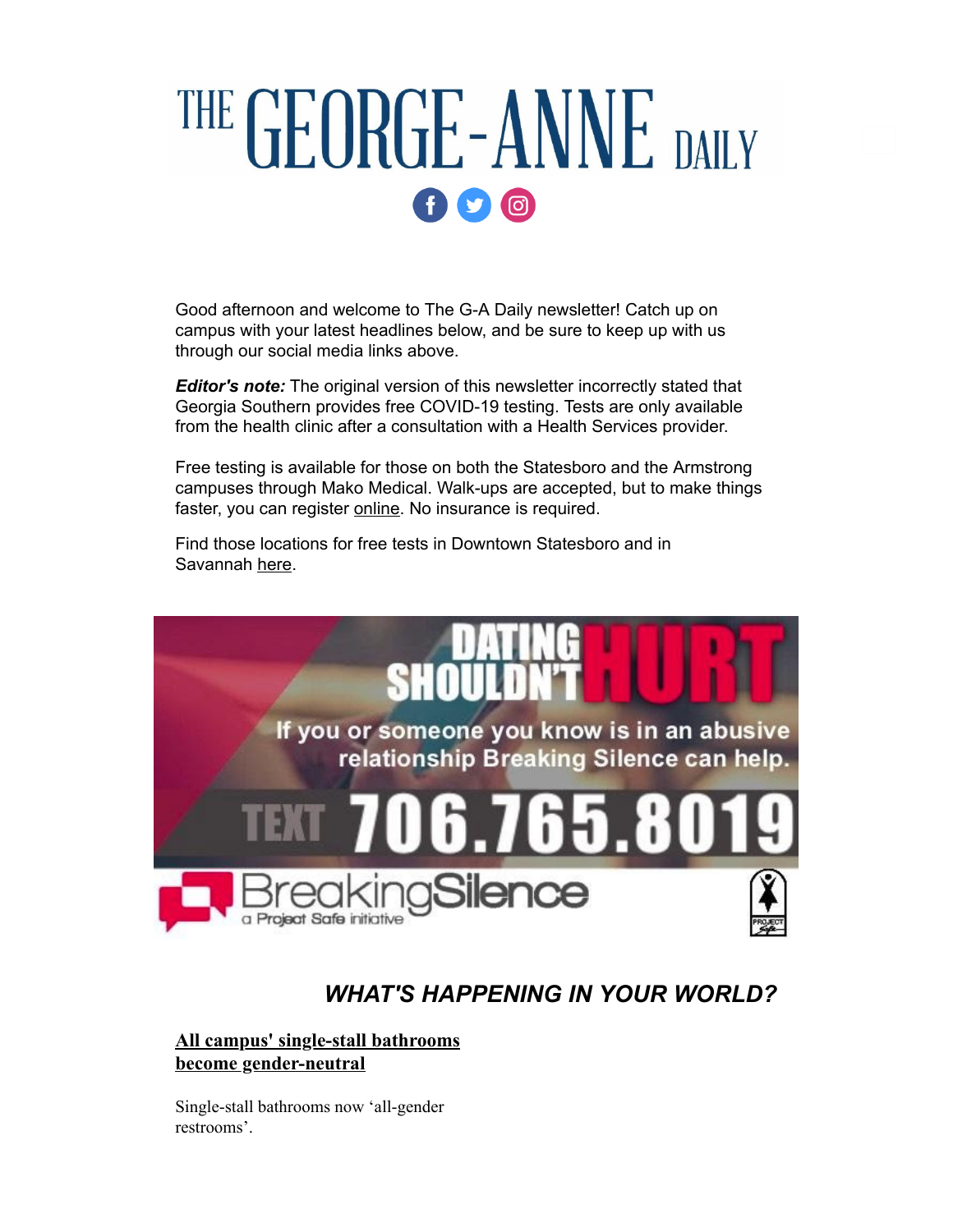# THE GEORGE-ANNE DAILY  $f$  $O$  $O$

Good afternoon and welcome to The G-A Daily newsletter! Catch up on campus with your latest headlines below, and be sure to keep up with us through our social media links above.

*Editor's note:* The original version of this newsletter incorrectly stated that Georgia Southern provides free COVID-19 testing. Tests are only available from the health clinic after a consultation with a Health Services provider.

Free testing is available for those on both the Statesboro and the Armstrong campuses through Mako Medical. Walk-ups are accepted, but to make things faster, you can register [online.](https://r20.rs6.net/tn.jsp?f=001WUvD9YbejFjAXSxQHZ-A4dZls7C6jtTrn29YaKnydYM_MZ6G-TvqmfJS5c60y9SWj7oo9-Y_PjJdvdo9oMAbcWkAaCw87DSHdgeywFw_8kwgZXyQL5EY9NV99aVjeFE7mQ3RHI3xjolYcOJ_oWfTC2t6pLiQCrKny3TnpcAWS-4BzIYc5n1TSpHdRSR5NraBwGHFU5jU7zYVhUKLjKmdLoDpmTOxOyPP52Mbq_J31ZnVBUhvjrT4oBNIaGuPq4DU4GrJryfLUIiUvuvd5WGdtaYi3OfdCgPj4RrM3XcwJNEQmaBwfzmlyg==&c=FmPaIiTpCY9ooHBsO95e3rnB39DMkBlKoh3MfkT3K5JjvpXIVKJkmw==&ch=B9H5f7w0ZD2Ij8LlG-pi3txJZehDC-hP2ZfhyImjfdpG0lhTWiUCrw==) No insurance is required.

Find those locations for free tests in Downtown Statesboro and in Savannah [here.](https://r20.rs6.net/tn.jsp?f=001WUvD9YbejFjAXSxQHZ-A4dZls7C6jtTrn29YaKnydYM_MZ6G-TvqmfJS5c60y9SWj7oo9-Y_PjJdvdo9oMAbcWkAaCw87DSHdgeywFw_8kwgZXyQL5EY9NV99aVjeFE7mQ3RHI3xjolYcOJ_oWfTC2t6pLiQCrKny3TnpcAWS-4BzIYc5n1TSpHdRSR5NraBwGHFU5jU7zYVhUKLjKmdLoDpmTOxOyPP52Mbq_J31ZnVBUhvjrT4oBNIaGuPq4DU4GrJryfLUIiUvuvd5WGdtaYi3OfdCgPj4RrM3XcwJNEQmaBwfzmlyg==&c=FmPaIiTpCY9ooHBsO95e3rnB39DMkBlKoh3MfkT3K5JjvpXIVKJkmw==&ch=B9H5f7w0ZD2Ij8LlG-pi3txJZehDC-hP2ZfhyImjfdpG0lhTWiUCrw==)



### *WHAT'S HAPPENING IN YOUR WORLD?*

#### **[All campus' single-stall bathrooms](https://r20.rs6.net/tn.jsp?f=001WUvD9YbejFjAXSxQHZ-A4dZls7C6jtTrn29YaKnydYM_MZ6G-TvqmZ4lY4tBpr5I_zEhYP0DqkSCOdFKuPu07oN_z16QPc4TPO5rMXoRSjGk8hVqxwvhWwokn18414xD24gZWYnJX5UjalaDlboKxMeZxrWi8PrENgJUTLekTOdFSw2bHtYvS5QLOTvugRUOKLIyvCtvIhb4-oLMLcBAinjm9sd3cmVmK_ARdSpzBpD-oMkPHiSl7aw_AOHjJTQA&c=FmPaIiTpCY9ooHBsO95e3rnB39DMkBlKoh3MfkT3K5JjvpXIVKJkmw==&ch=B9H5f7w0ZD2Ij8LlG-pi3txJZehDC-hP2ZfhyImjfdpG0lhTWiUCrw==) become gender-neutral**

Single-stall bathrooms now 'all-gender restrooms'.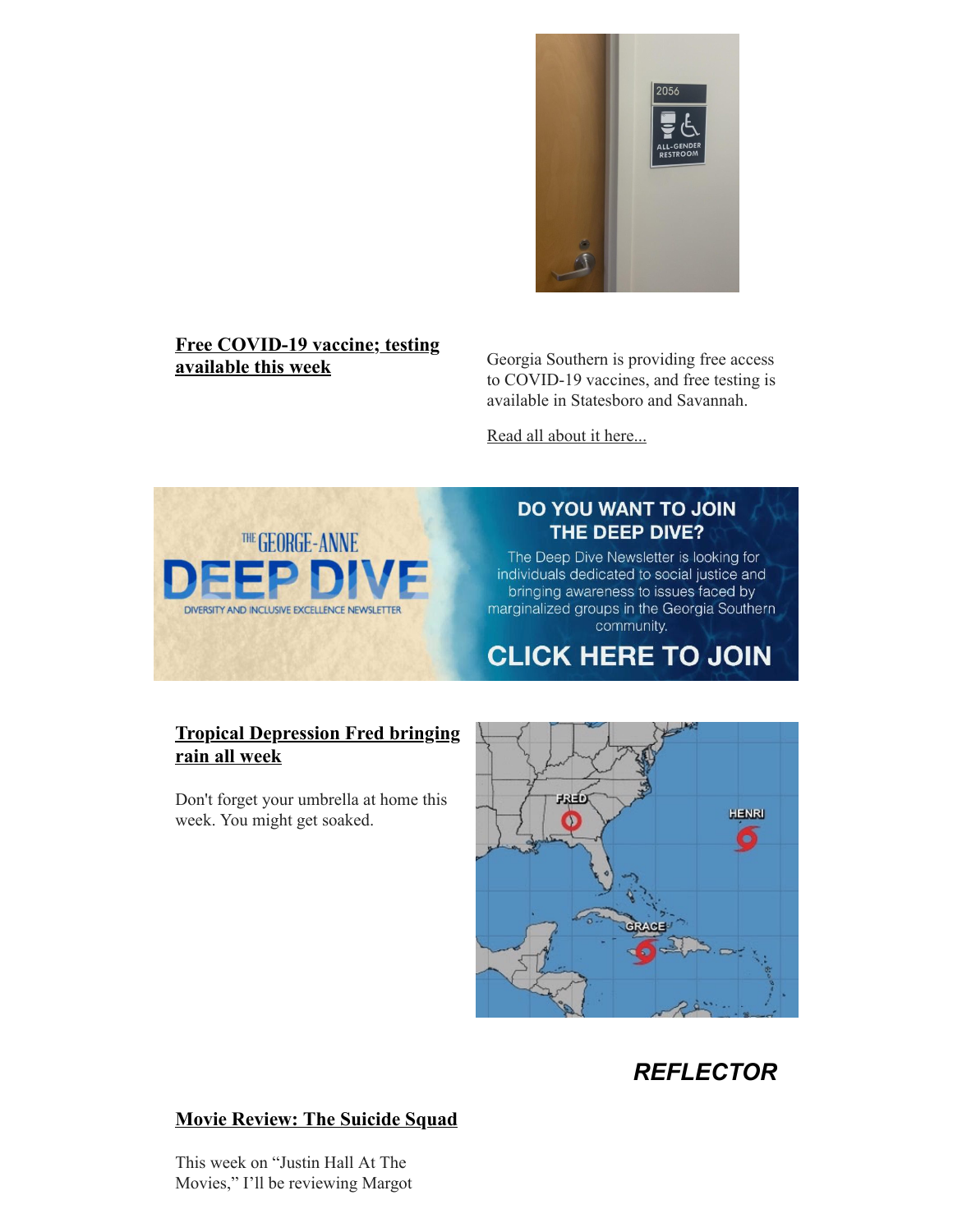

# **[Free COVID-19 vaccine; testing](https://r20.rs6.net/tn.jsp?f=001WUvD9YbejFjAXSxQHZ-A4dZls7C6jtTrn29YaKnydYM_MZ6G-TvqmZ4lY4tBpr5I1XDB2W2gL0xAgjvh4v8_ubgv-F1U072tEH3Pr4z-4d24-CyWosrCA4kVeG6LURh-1FXP5aF-OrZQoybQaStg-WQ5UxI3Qm-UCOlWtpIx5kLJJ-jtOcSzfU4cQJdiVK7nxpeAc-p_JvA62q5D9ng4e2nYqRXZ-WldDwYD3aWaodwALb45gYpiyw==&c=FmPaIiTpCY9ooHBsO95e3rnB39DMkBlKoh3MfkT3K5JjvpXIVKJkmw==&ch=B9H5f7w0ZD2Ij8LlG-pi3txJZehDC-hP2ZfhyImjfdpG0lhTWiUCrw==)**

**available this week** Georgia Southern is providing free access to COVID-19 vaccines, and free testing is available in Statesboro and Savannah.

[Read all about it here...](https://r20.rs6.net/tn.jsp?f=001WUvD9YbejFjAXSxQHZ-A4dZls7C6jtTrn29YaKnydYM_MZ6G-TvqmZ4lY4tBpr5I1XDB2W2gL0xAgjvh4v8_ubgv-F1U072tEH3Pr4z-4d24-CyWosrCA4kVeG6LURh-1FXP5aF-OrZQoybQaStg-WQ5UxI3Qm-UCOlWtpIx5kLJJ-jtOcSzfU4cQJdiVK7nxpeAc-p_JvA62q5D9ng4e2nYqRXZ-WldDwYD3aWaodwALb45gYpiyw==&c=FmPaIiTpCY9ooHBsO95e3rnB39DMkBlKoh3MfkT3K5JjvpXIVKJkmw==&ch=B9H5f7w0ZD2Ij8LlG-pi3txJZehDC-hP2ZfhyImjfdpG0lhTWiUCrw==)



#### DO YOU WANT TO JOIN THE DEEP DIVE?

The Deep Dive Newsletter is looking for individuals dedicated to social justice and bringing awareness to issues faced by marginalized groups in the Georgia Southern community.

**CLICK HERE TO JOIN** 

#### **[Tropical Depression Fred bringing](https://r20.rs6.net/tn.jsp?f=001WUvD9YbejFjAXSxQHZ-A4dZls7C6jtTrn29YaKnydYM_MZ6G-TvqmZ4lY4tBpr5I9vC1GfCnVOd7ALJFbRsuAsI0e83-1NSMieA7HW3Eq2ARbUsQFeSnGA_egJYwSXRM8ci6vIgTSHzwW2IQKoGl2_tf5zHU08NIcdVYyotZ-YJrIU8andETqlpIbdo0Kxxyzh4i3WNc3x-xTLqaly78PxNxcSeulHo23Wh2o_cCN9krbjyJrgfgjg==&c=FmPaIiTpCY9ooHBsO95e3rnB39DMkBlKoh3MfkT3K5JjvpXIVKJkmw==&ch=B9H5f7w0ZD2Ij8LlG-pi3txJZehDC-hP2ZfhyImjfdpG0lhTWiUCrw==) rain all week**

Don't forget your umbrella at home this week. You might get soaked.



# *REFLECTOR*

#### **[Movie Review: The Suicide Squad](https://r20.rs6.net/tn.jsp?f=001WUvD9YbejFjAXSxQHZ-A4dZls7C6jtTrn29YaKnydYM_MZ6G-TvqmZ4lY4tBpr5Iq745yKJexopMOm_X7WF1q2bQmG3aMzPCSkWpAShe_G-kFF7VHQy2LLKu1B7BmT6GdNW1LlWHA-ptBntO_Te8fA5CupsB-ZZIhHZR4xBG5RjAzxZXwUhtu8gdcSZVl7fl0tpkQ_YsnoVvayoEzH2iLebcU0LiSBXx&c=FmPaIiTpCY9ooHBsO95e3rnB39DMkBlKoh3MfkT3K5JjvpXIVKJkmw==&ch=B9H5f7w0ZD2Ij8LlG-pi3txJZehDC-hP2ZfhyImjfdpG0lhTWiUCrw==)**

This week on "Justin Hall At The Movies," I'll be reviewing Margot